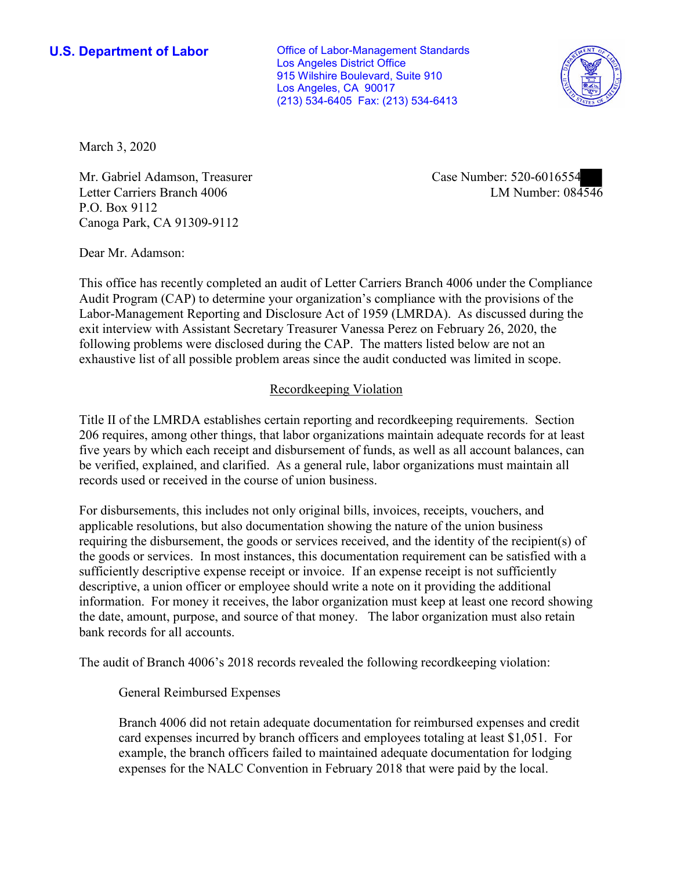**U.S. Department of Labor Conservative Conservative Conservative Conservative U.S.** Department of Labor Los Angeles District Office 915 Wilshire Boulevard, Suite 910 Los Angeles, CA 90017 (213) 534-6405 Fax: (213) 534-6413



March 3, 2020

Mr. Gabriel Adamson, Treasurer Letter Carriers Branch 4006 P.O. Box 9112 Canoga Park, CA 91309-9112

Case Number: 520-6016554<br>LM Number: 084546

Dear Mr. Adamson:

 This office has recently completed an audit of Letter Carriers Branch 4006 under the Compliance Audit Program (CAP) to determine your organization's compliance with the provisions of the Labor-Management Reporting and Disclosure Act of 1959 (LMRDA). As discussed during the exit interview with Assistant Secretary Treasurer Vanessa Perez on February 26, 2020, the following problems were disclosed during the CAP. The matters listed below are not an exhaustive list of all possible problem areas since the audit conducted was limited in scope.

## Recordkeeping Violation

 Title II of the LMRDA establishes certain reporting and recordkeeping requirements. Section 206 requires, among other things, that labor organizations maintain adequate records for at least five years by which each receipt and disbursement of funds, as well as all account balances, can be verified, explained, and clarified. As a general rule, labor organizations must maintain all records used or received in the course of union business.

For disbursements, this includes not only original bills, invoices, receipts, vouchers, and applicable resolutions, but also documentation showing the nature of the union business requiring the disbursement, the goods or services received, and the identity of the recipient(s) of the goods or services. In most instances, this documentation requirement can be satisfied with a sufficiently descriptive expense receipt or invoice. If an expense receipt is not sufficiently descriptive, a union officer or employee should write a note on it providing the additional information. For money it receives, the labor organization must keep at least one record showing the date, amount, purpose, and source of that money. The labor organization must also retain bank records for all accounts.

The audit of Branch 4006's 2018 records revealed the following recordkeeping violation:

General Reimbursed Expenses

Branch 4006 did not retain adequate documentation for reimbursed expenses and credit card expenses incurred by branch officers and employees totaling at least \$1,051. For example, the branch officers failed to maintained adequate documentation for lodging expenses for the NALC Convention in February 2018 that were paid by the local.